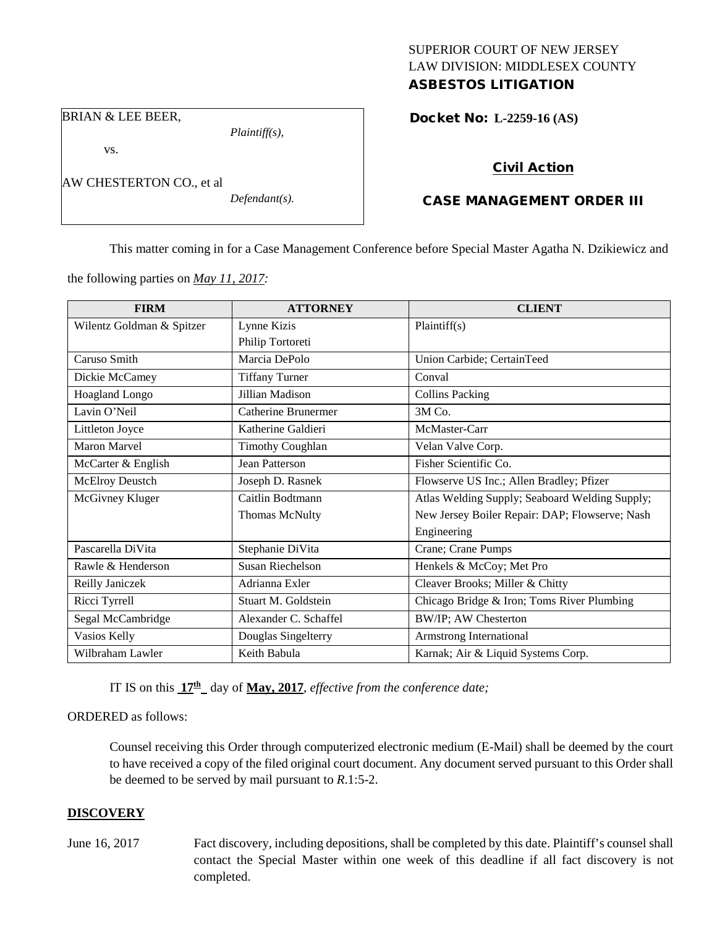## SUPERIOR COURT OF NEW JERSEY LAW DIVISION: MIDDLESEX COUNTY ASBESTOS LITIGATION

BRIAN & LEE BEER,

vs.

AW CHESTERTON CO., et al

*Defendant(s).*

*Plaintiff(s),*

Docket No: **L-2259-16 (AS)** 

# Civil Action

# CASE MANAGEMENT ORDER III

This matter coming in for a Case Management Conference before Special Master Agatha N. Dzikiewicz and

the following parties on *May 11, 2017:*

| <b>FIRM</b>               | <b>ATTORNEY</b>         | <b>CLIENT</b>                                  |
|---------------------------|-------------------------|------------------------------------------------|
| Wilentz Goldman & Spitzer | Lynne Kizis             | Plaintiff(s)                                   |
|                           | Philip Tortoreti        |                                                |
| Caruso Smith              | Marcia DePolo           | Union Carbide; CertainTeed                     |
| Dickie McCamey            | <b>Tiffany Turner</b>   | Conval                                         |
| Hoagland Longo            | Jillian Madison         | <b>Collins Packing</b>                         |
| Lavin O'Neil              | Catherine Brunermer     | 3M Co.                                         |
| Littleton Joyce           | Katherine Galdieri      | McMaster-Carr                                  |
| <b>Maron Marvel</b>       | <b>Timothy Coughlan</b> | Velan Valve Corp.                              |
| McCarter & English        | Jean Patterson          | Fisher Scientific Co.                          |
| <b>McElroy Deustch</b>    | Joseph D. Rasnek        | Flowserve US Inc.; Allen Bradley; Pfizer       |
| McGivney Kluger           | Caitlin Bodtmann        | Atlas Welding Supply; Seaboard Welding Supply; |
|                           | <b>Thomas McNulty</b>   | New Jersey Boiler Repair: DAP; Flowserve; Nash |
|                           |                         | Engineering                                    |
| Pascarella DiVita         | Stephanie DiVita        | Crane; Crane Pumps                             |
| Rawle & Henderson         | Susan Riechelson        | Henkels & McCoy; Met Pro                       |
| Reilly Janiczek           | Adrianna Exler          | Cleaver Brooks; Miller & Chitty                |
| Ricci Tyrrell             | Stuart M. Goldstein     | Chicago Bridge & Iron; Toms River Plumbing     |
| Segal McCambridge         | Alexander C. Schaffel   | BW/IP; AW Chesterton                           |
| Vasios Kelly              | Douglas Singelterry     | Armstrong International                        |
| Wilbraham Lawler          | Keith Babula            | Karnak; Air & Liquid Systems Corp.             |

IT IS on this  $17<sup>th</sup>$  day of **May, 2017**, *effective from the conference date*;

## ORDERED as follows:

Counsel receiving this Order through computerized electronic medium (E-Mail) shall be deemed by the court to have received a copy of the filed original court document. Any document served pursuant to this Order shall be deemed to be served by mail pursuant to *R*.1:5-2.

## **DISCOVERY**

- 
- June 16, 2017 Fact discovery, including depositions, shall be completed by this date. Plaintiff's counsel shall contact the Special Master within one week of this deadline if all fact discovery is not completed.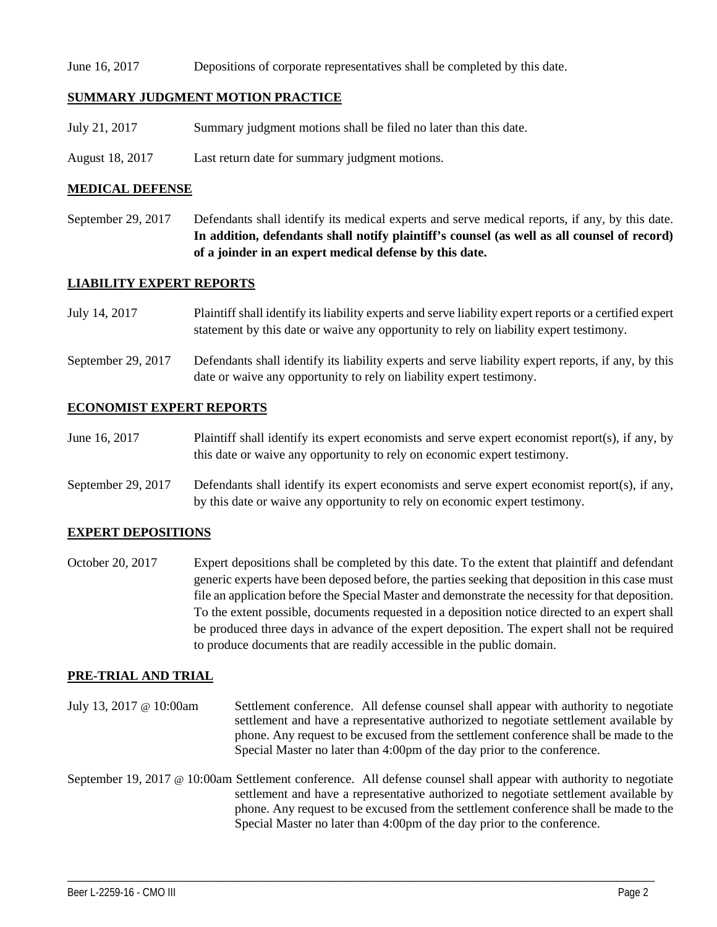#### June 16, 2017 Depositions of corporate representatives shall be completed by this date.

#### **SUMMARY JUDGMENT MOTION PRACTICE**

- July 21, 2017 Summary judgment motions shall be filed no later than this date.
- August 18, 2017 Last return date for summary judgment motions.

#### **MEDICAL DEFENSE**

September 29, 2017 Defendants shall identify its medical experts and serve medical reports, if any, by this date. **In addition, defendants shall notify plaintiff's counsel (as well as all counsel of record) of a joinder in an expert medical defense by this date.**

#### **LIABILITY EXPERT REPORTS**

| July 14, 2017      | Plaintiff shall identify its liability experts and serve liability expert reports or a certified expert<br>statement by this date or waive any opportunity to rely on liability expert testimony. |
|--------------------|---------------------------------------------------------------------------------------------------------------------------------------------------------------------------------------------------|
| September 29, 2017 | Defendants shall identify its liability experts and serve liability expert reports, if any, by this<br>date or waive any opportunity to rely on liability expert testimony.                       |

#### **ECONOMIST EXPERT REPORTS**

- June 16, 2017 Plaintiff shall identify its expert economists and serve expert economist report(s), if any, by this date or waive any opportunity to rely on economic expert testimony.
- September 29, 2017 Defendants shall identify its expert economists and serve expert economist report(s), if any, by this date or waive any opportunity to rely on economic expert testimony.

## **EXPERT DEPOSITIONS**

October 20, 2017 Expert depositions shall be completed by this date. To the extent that plaintiff and defendant generic experts have been deposed before, the parties seeking that deposition in this case must file an application before the Special Master and demonstrate the necessity for that deposition. To the extent possible, documents requested in a deposition notice directed to an expert shall be produced three days in advance of the expert deposition. The expert shall not be required to produce documents that are readily accessible in the public domain.

#### **PRE-TRIAL AND TRIAL**

July 13, 2017 @ 10:00am Settlement conference. All defense counsel shall appear with authority to negotiate settlement and have a representative authorized to negotiate settlement available by phone. Any request to be excused from the settlement conference shall be made to the Special Master no later than 4:00pm of the day prior to the conference.

September 19, 2017 @ 10:00am Settlement conference. All defense counsel shall appear with authority to negotiate settlement and have a representative authorized to negotiate settlement available by phone. Any request to be excused from the settlement conference shall be made to the Special Master no later than 4:00pm of the day prior to the conference.

\_\_\_\_\_\_\_\_\_\_\_\_\_\_\_\_\_\_\_\_\_\_\_\_\_\_\_\_\_\_\_\_\_\_\_\_\_\_\_\_\_\_\_\_\_\_\_\_\_\_\_\_\_\_\_\_\_\_\_\_\_\_\_\_\_\_\_\_\_\_\_\_\_\_\_\_\_\_\_\_\_\_\_\_\_\_\_\_\_\_\_\_\_\_\_\_\_\_\_\_\_\_\_\_\_\_\_\_\_\_